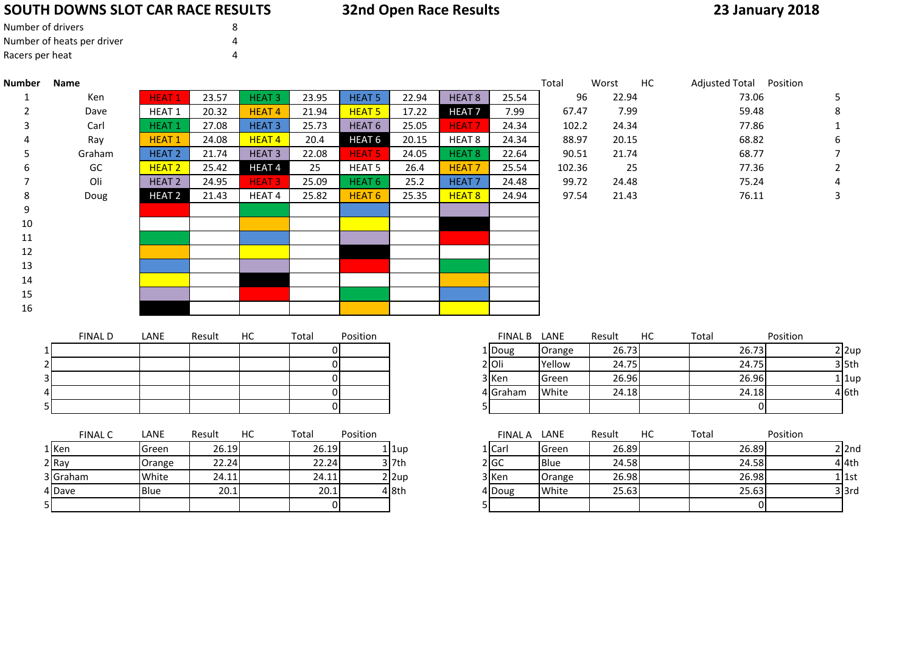## **SOUTH DOWNS SLOT CAR RACE RESULTS**

| <b>32nd Open Race Results</b> |
|-------------------------------|
|                               |

## **23 January 2018**

| Number of drivers          |  |
|----------------------------|--|
| Number of heats per driver |  |
| Racers per heat            |  |

| <b>Number</b>  | Name           |                   |        |                   |                |                   |                   |                   |                | Total           | Worst  | HC | Adjusted Total Position |          |          |
|----------------|----------------|-------------------|--------|-------------------|----------------|-------------------|-------------------|-------------------|----------------|-----------------|--------|----|-------------------------|----------|----------|
| 1              | Ken            | <b>HEAT1</b>      | 23.57  | <b>HEAT3</b>      | 23.95          | <b>HEAT 5</b>     | 22.94             | HEAT <sub>8</sub> | 25.54          | 96              | 22.94  |    | 73.06                   |          | 5        |
| $\overline{2}$ | Dave           | HEAT 1            | 20.32  | <b>HEAT4</b>      | 21.94          | <b>HEAT 5</b>     | 17.22             | <b>HEAT7</b>      | 7.99           | 67.47           | 7.99   |    | 59.48                   |          | 8        |
|                | Carl           | <b>HEAT1</b>      | 27.08  | <b>HEAT3</b>      | 25.73          | HEAT <sub>6</sub> | 25.05             | <b>HEAT7</b>      | 24.34          | 102.2           | 24.34  |    | 77.86                   |          |          |
|                | Ray            | <b>HEAT1</b>      | 24.08  | HEAT <sub>4</sub> | 20.4           | HEAT <sub>6</sub> | 20.15             | HEAT <sub>8</sub> | 24.34          | 88.97           | 20.15  |    | 68.82                   |          | 6        |
|                | Graham         | <b>HEAT 2</b>     | 21.74  | <b>HEAT3</b>      | 22.08          | <b>HEAT 5</b>     | 24.05             | <b>HEAT 8</b>     | 22.64          | 90.51           | 21.74  |    | 68.77                   |          |          |
|                | GC             | HEAT <sub>2</sub> | 25.42  | HEAT4             | 25             | <b>HEAT 5</b>     | 26.4              | <b>HEAT7</b>      | 25.54          | 102.36          | 25     |    | 77.36                   |          | 2        |
|                | Oli            | <b>HEAT 2</b>     | 24.95  | <b>HEAT3</b>      | 25.09          | HEAT <sub>6</sub> | 25.2              | HEAT <sub>7</sub> | 24.48          | 99.72           | 24.48  |    | 75.24                   |          |          |
| 8              | Doug           | HEAT <sub>2</sub> | 21.43  | HEAT 4            | 25.82          | HEAT <sub>6</sub> | 25.35             | <b>HEAT 8</b>     | 24.94          | 97.54           | 21.43  |    | 76.11                   |          | 3        |
| 9              |                |                   |        |                   |                |                   |                   |                   |                |                 |        |    |                         |          |          |
| 10             |                |                   |        |                   |                |                   |                   |                   |                |                 |        |    |                         |          |          |
| 11             |                |                   |        |                   |                |                   |                   |                   |                |                 |        |    |                         |          |          |
| 12             |                |                   |        |                   |                |                   |                   |                   |                |                 |        |    |                         |          |          |
| 13             |                |                   |        |                   |                |                   |                   |                   |                |                 |        |    |                         |          |          |
| 14             |                |                   |        |                   |                |                   |                   |                   |                |                 |        |    |                         |          |          |
| 15             |                |                   |        |                   |                |                   |                   |                   |                |                 |        |    |                         |          |          |
| 16             |                |                   |        |                   |                |                   |                   |                   |                |                 |        |    |                         |          |          |
|                |                |                   |        |                   |                |                   |                   |                   |                |                 |        |    |                         |          |          |
|                | <b>FINAL D</b> | LANE              | Result | HC                | Total          | Position          |                   |                   | <b>FINAL B</b> | LANE            | Result | HC | Total                   | Position |          |
|                |                |                   |        |                   | $\overline{0}$ |                   |                   |                   | 1 Doug         | Orange          | 26.73  |    | 26.73                   |          | $2$ 2up  |
|                |                |                   |        |                   | $\Omega$       |                   |                   |                   | $2$ Oli        | Yellow          | 24.75  |    | 24.75                   |          | $3$ 5th  |
|                |                |                   |        |                   | $\overline{0}$ |                   |                   |                   | 3 Ken          | Green           | 26.96  |    | 26.96                   |          | $1$ 1up  |
|                |                |                   |        |                   | $\overline{0}$ |                   |                   |                   | 4 Graham       | White           | 24.18  |    | 24.18                   |          | 4 6th    |
|                |                |                   |        |                   | $\Omega$       |                   |                   |                   |                |                 |        |    | $\Omega$                |          |          |
|                | <b>FINAL C</b> | LANE              | Result | НC                | Total          | Position          |                   |                   | FINAL A LANE   |                 | Result | HC | Total                   | Position |          |
|                | 1 Ken          | Green             | 26.19  |                   | 26.19          |                   | $1$  1up          |                   | 1 Carl         | Green           | 26.89  |    | 26.89                   |          | $2$  2nd |
|                | 2 Ray          |                   | 22.24  |                   | 22.24          |                   | $3$ 7th           |                   | 2 GC           | Blue            | 24.58  |    | 24.58                   |          | $4$ 4th  |
|                | 3 Graham       | Orange<br>White   | 24.11  |                   | 24.11          |                   |                   |                   | 3 Ken          |                 | 26.98  |    | 26.98                   |          | $1$ 1st  |
|                | 4 Dave         | Blue              | 20.1   |                   | 20.1           |                   | $2$  2up<br>4 8th |                   | 4 Doug         | Orange<br>White | 25.63  |    | 25.63                   |          | $3$ 3rd  |
|                |                |                   |        |                   | $\overline{0}$ |                   |                   |                   |                |                 |        |    |                         |          |          |
|                |                |                   |        |                   |                |                   |                   | 5                 |                |                 |        |    | 01                      |          |          |